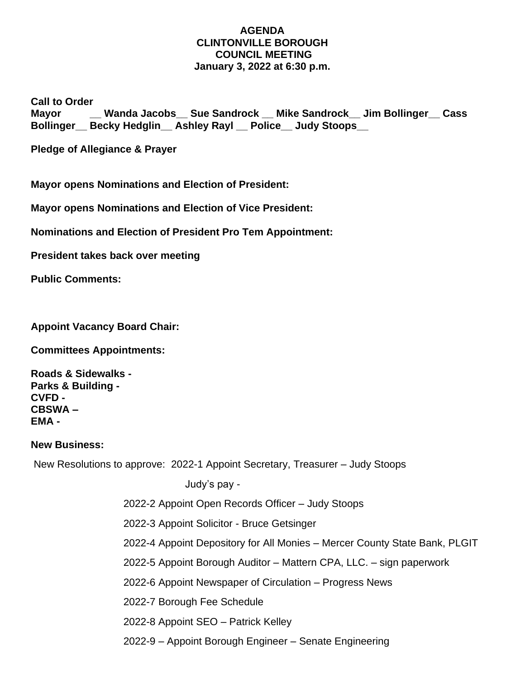## **AGENDA CLINTONVILLE BOROUGH COUNCIL MEETING January 3, 2022 at 6:30 p.m.**

**Call to Order**

**Mayor Wanda Jacobs** Sue Sandrock Mike Sandrock Jim Bollinger Cass **Bollinger\_\_ Becky Hedglin\_\_ Ashley Rayl \_\_ Police\_\_ Judy Stoops\_\_**

**Pledge of Allegiance & Prayer**

**Mayor opens Nominations and Election of President:**

**Mayor opens Nominations and Election of Vice President:**

**Nominations and Election of President Pro Tem Appointment:**

**President takes back over meeting**

**Public Comments:**

**Appoint Vacancy Board Chair:**

**Committees Appointments:**

**Roads & Sidewalks - Parks & Building - CVFD - CBSWA – EMA -**

## **New Business:**

New Resolutions to approve: 2022-1 Appoint Secretary, Treasurer – Judy Stoops

Judy's pay -

2022-2 Appoint Open Records Officer – Judy Stoops

2022-3 Appoint Solicitor - Bruce Getsinger

2022-4 Appoint Depository for All Monies – Mercer County State Bank, PLGIT

2022-5 Appoint Borough Auditor – Mattern CPA, LLC. – sign paperwork

2022-6 Appoint Newspaper of Circulation – Progress News

2022-7 Borough Fee Schedule

2022-8 Appoint SEO – Patrick Kelley

2022-9 – Appoint Borough Engineer – Senate Engineering